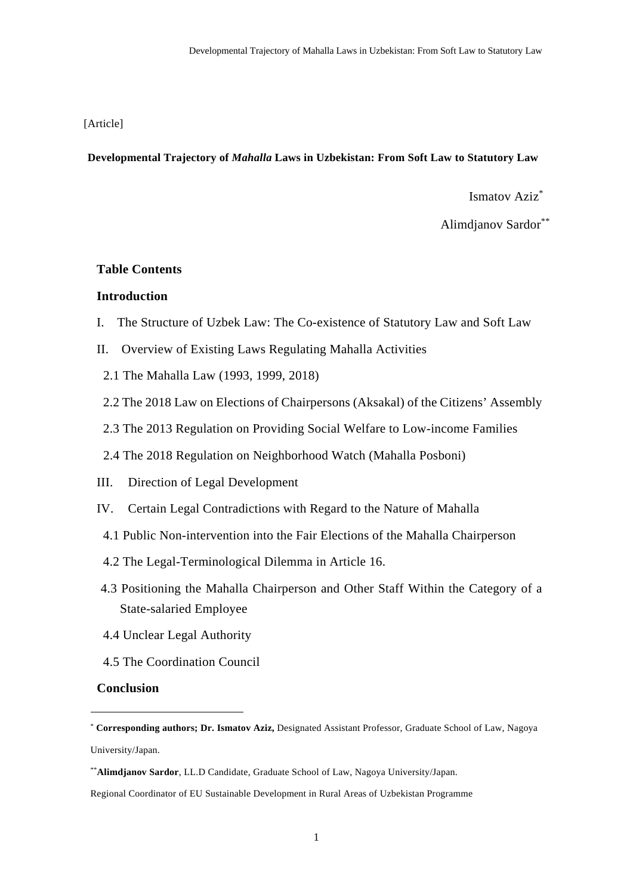### [Article]

#### **Developmental Trajectory of** *Mahalla* **Laws in Uzbekistan: From Soft Law to Statutory Law**

Ismatov Aziz\*

Alimdjanov Sardor\*\*

### **Table Contents**

## **Introduction**

- I. The Structure of Uzbek Law: The Co-existence of Statutory Law and Soft Law
- II. Overview of Existing Laws Regulating Mahalla Activities
- 2.1 The Mahalla Law (1993, 1999, 2018)
- 2.2 The 2018 Law on Elections of Chairpersons (Aksakal) of the Citizens' Assembly
- 2.3 The 2013 Regulation on Providing Social Welfare to Low-income Families
- 2.4 The 2018 Regulation on Neighborhood Watch (Mahalla Posboni)
- III. Direction of Legal Development
- IV. Certain Legal Contradictions with Regard to the Nature of Mahalla
- 4.1 Public Non-intervention into the Fair Elections of the Mahalla Chairperson
- 4.2 The Legal-Terminological Dilemma in Article 16.
- 4.3 Positioning the Mahalla Chairperson and Other Staff Within the Category of a State-salaried Employee
- 4.4 Unclear Legal Authority
- 4.5 The Coordination Council

### **Conclusion**

<sup>\*</sup> **Corresponding authors; Dr. Ismatov Aziz,** Designated Assistant Professor, Graduate School of Law, Nagoya University/Japan.

<sup>\*\*</sup>**Alimdjanov Sardor**, LL.D Candidate, Graduate School of Law, Nagoya University/Japan.

Regional Coordinator of EU Sustainable Development in Rural Areas of Uzbekistan Programme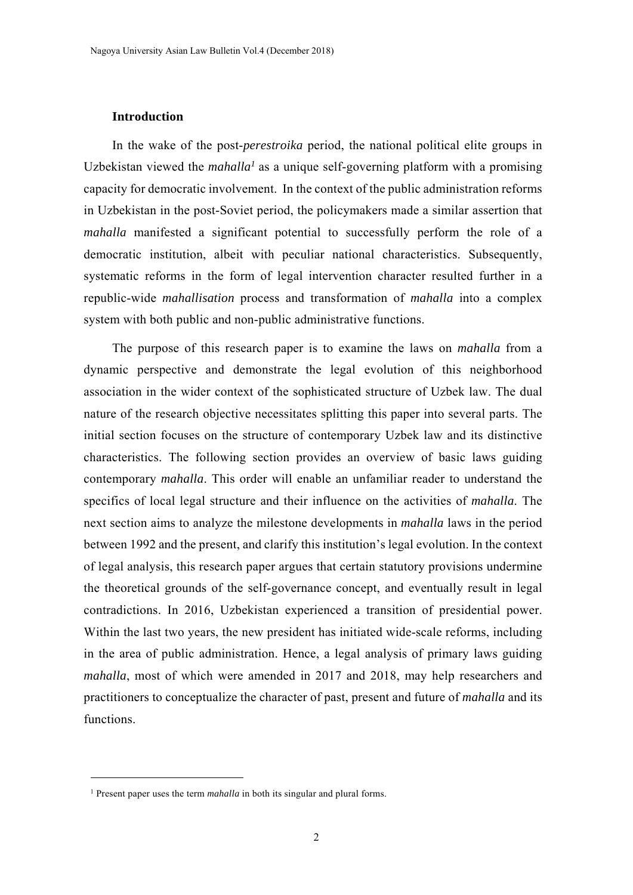### **Introduction**

In the wake of the post-*perestroika* period, the national political elite groups in Uzbekistan viewed the *mahalla<sup>1</sup>* as a unique self-governing platform with a promising capacity for democratic involvement. In the context of the public administration reforms in Uzbekistan in the post-Soviet period, the policymakers made a similar assertion that *mahalla* manifested a significant potential to successfully perform the role of a democratic institution, albeit with peculiar national characteristics. Subsequently, systematic reforms in the form of legal intervention character resulted further in a republic-wide *mahallisation* process and transformation of *mahalla* into a complex system with both public and non-public administrative functions.

The purpose of this research paper is to examine the laws on *mahalla* from a dynamic perspective and demonstrate the legal evolution of this neighborhood association in the wider context of the sophisticated structure of Uzbek law. The dual nature of the research objective necessitates splitting this paper into several parts. The initial section focuses on the structure of contemporary Uzbek law and its distinctive characteristics. The following section provides an overview of basic laws guiding contemporary *mahalla*. This order will enable an unfamiliar reader to understand the specifics of local legal structure and their influence on the activities of *mahalla*. The next section aims to analyze the milestone developments in *mahalla* laws in the period between 1992 and the present, and clarify this institution's legal evolution. In the context of legal analysis, this research paper argues that certain statutory provisions undermine the theoretical grounds of the self-governance concept, and eventually result in legal contradictions. In 2016, Uzbekistan experienced a transition of presidential power. Within the last two years, the new president has initiated wide-scale reforms, including in the area of public administration. Hence, a legal analysis of primary laws guiding *mahalla*, most of which were amended in 2017 and 2018, may help researchers and practitioners to conceptualize the character of past, present and future of *mahalla* and its functions.

-

<sup>1</sup> Present paper uses the term *mahalla* in both its singular and plural forms.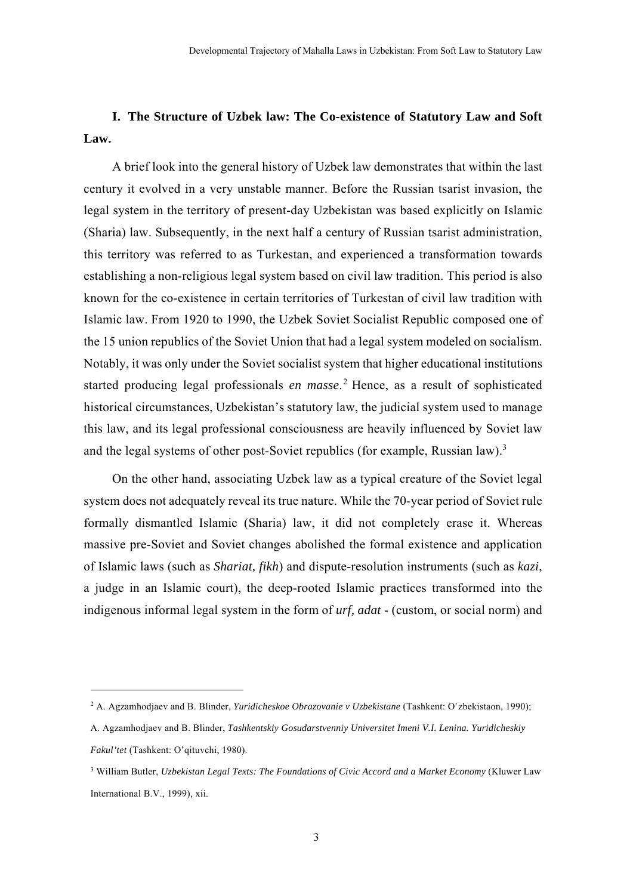# **I. The Structure of Uzbek law: The Co-existence of Statutory Law and Soft Law.**

A brief look into the general history of Uzbek law demonstrates that within the last century it evolved in a very unstable manner. Before the Russian tsarist invasion, the legal system in the territory of present-day Uzbekistan was based explicitly on Islamic (Sharia) law. Subsequently, in the next half a century of Russian tsarist administration, this territory was referred to as Turkestan, and experienced a transformation towards establishing a non-religious legal system based on civil law tradition. This period is also known for the co-existence in certain territories of Turkestan of civil law tradition with Islamic law. From 1920 to 1990, the Uzbek Soviet Socialist Republic composed one of the 15 union republics of the Soviet Union that had a legal system modeled on socialism. Notably, it was only under the Soviet socialist system that higher educational institutions started producing legal professionals *en masse*. 2 Hence, as a result of sophisticated historical circumstances, Uzbekistan's statutory law, the judicial system used to manage this law, and its legal professional consciousness are heavily influenced by Soviet law and the legal systems of other post-Soviet republics (for example, Russian law).<sup>3</sup>

On the other hand, associating Uzbek law as a typical creature of the Soviet legal system does not adequately reveal its true nature. While the 70-year period of Soviet rule formally dismantled Islamic (Sharia) law, it did not completely erase it. Whereas massive pre-Soviet and Soviet changes abolished the formal existence and application of Islamic laws (such as *Shariat, fikh*) and dispute-resolution instruments (such as *kazi*, a judge in an Islamic court), the deep-rooted Islamic practices transformed into the indigenous informal legal system in the form of *urf, adat* - (custom, or social norm) and

<sup>2</sup> A. Agzamhodjaev and B. Blinder, *Yuridicheskoe Obrazovanie v Uzbekistane* (Tashkent: O`zbekistaon, 1990);

A. Agzamhodjaev and B. Blinder, *Tashkentskiy Gosudarstvenniy Universitet Imeni V.I. Lenina. Yuridicheskiy Fakul'tet* (Tashkent: O'qituvchi, 1980).

<sup>3</sup> William Butler, *Uzbekistan Legal Texts: The Foundations of Civic Accord and a Market Economy* (Kluwer Law International B.V., 1999), xii.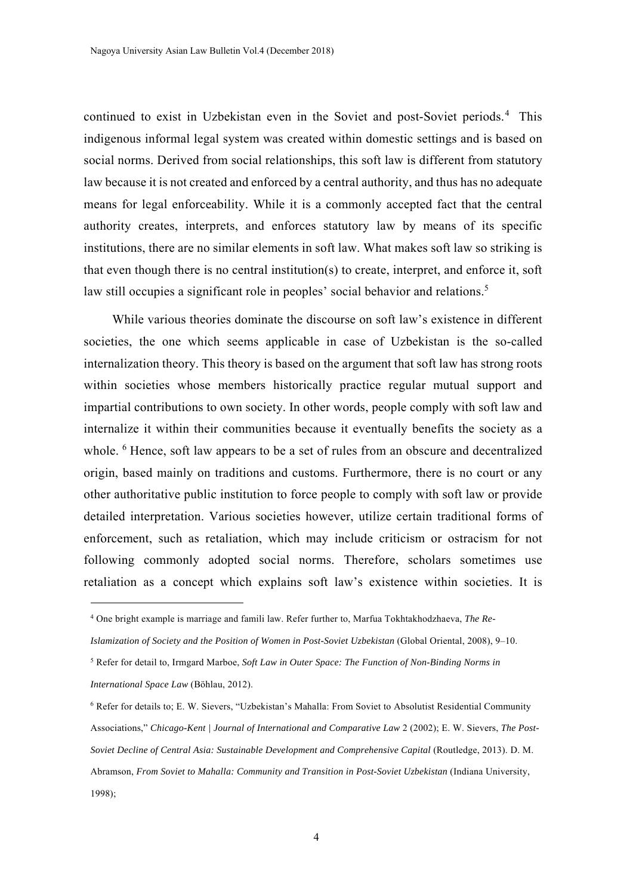continued to exist in Uzbekistan even in the Soviet and post-Soviet periods.<sup>4</sup> This indigenous informal legal system was created within domestic settings and is based on social norms. Derived from social relationships, this soft law is different from statutory law because it is not created and enforced by a central authority, and thus has no adequate means for legal enforceability. While it is a commonly accepted fact that the central authority creates, interprets, and enforces statutory law by means of its specific institutions, there are no similar elements in soft law. What makes soft law so striking is that even though there is no central institution(s) to create, interpret, and enforce it, soft law still occupies a significant role in peoples' social behavior and relations.<sup>5</sup>

While various theories dominate the discourse on soft law's existence in different societies, the one which seems applicable in case of Uzbekistan is the so-called internalization theory. This theory is based on the argument that soft law has strong roots within societies whose members historically practice regular mutual support and impartial contributions to own society. In other words, people comply with soft law and internalize it within their communities because it eventually benefits the society as a whole. <sup>6</sup> Hence, soft law appears to be a set of rules from an obscure and decentralized origin, based mainly on traditions and customs. Furthermore, there is no court or any other authoritative public institution to force people to comply with soft law or provide detailed interpretation. Various societies however, utilize certain traditional forms of enforcement, such as retaliation, which may include criticism or ostracism for not following commonly adopted social norms. Therefore, scholars sometimes use retaliation as a concept which explains soft law's existence within societies. It is

<sup>4</sup> One bright example is marriage and famili law. Refer further to, Marfua Tokhtakhodzhaeva, *The Re-*

*Islamization of Society and the Position of Women in Post-Soviet Uzbekistan* (Global Oriental, 2008), 9–10.

<sup>5</sup> Refer for detail to, Irmgard Marboe, *Soft Law in Outer Space: The Function of Non-Binding Norms in International Space Law* (Böhlau, 2012).

<sup>6</sup> Refer for details to; E. W. Sievers, "Uzbekistan's Mahalla: From Soviet to Absolutist Residential Community Associations," *Chicago-Kent | Journal of International and Comparative Law* 2 (2002); E. W. Sievers, *The Post-Soviet Decline of Central Asia: Sustainable Development and Comprehensive Capital* (Routledge, 2013). D. M. Abramson, *From Soviet to Mahalla: Community and Transition in Post-Soviet Uzbekistan* (Indiana University, 1998);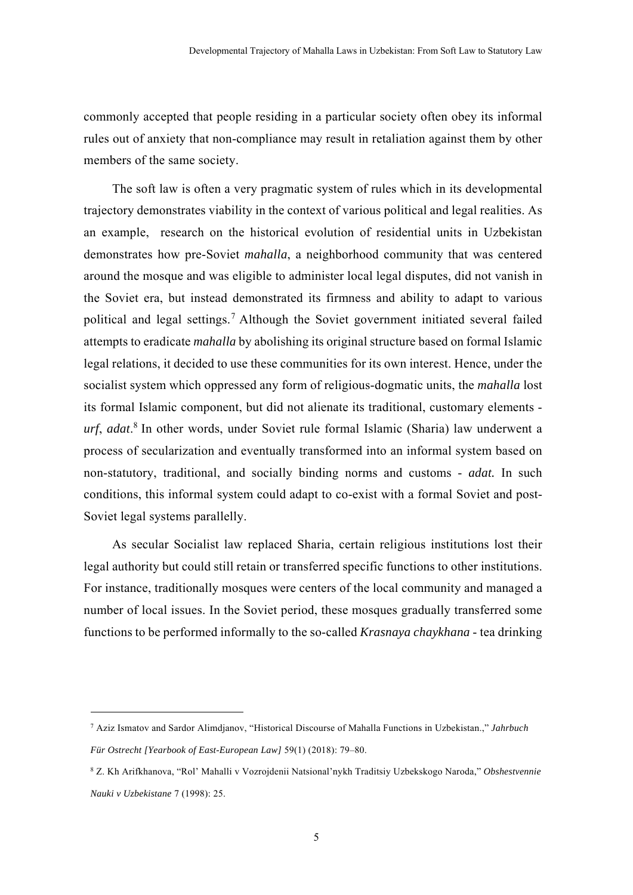commonly accepted that people residing in a particular society often obey its informal rules out of anxiety that non-compliance may result in retaliation against them by other members of the same society.

The soft law is often a very pragmatic system of rules which in its developmental trajectory demonstrates viability in the context of various political and legal realities. As an example, research on the historical evolution of residential units in Uzbekistan demonstrates how pre-Soviet *mahalla*, a neighborhood community that was centered around the mosque and was eligible to administer local legal disputes, did not vanish in the Soviet era, but instead demonstrated its firmness and ability to adapt to various political and legal settings.7 Although the Soviet government initiated several failed attempts to eradicate *mahalla* by abolishing its original structure based on formal Islamic legal relations, it decided to use these communities for its own interest. Hence, under the socialist system which oppressed any form of religious-dogmatic units, the *mahalla* lost its formal Islamic component, but did not alienate its traditional, customary elements *urf*, *adat*. 8 In other words, under Soviet rule formal Islamic (Sharia) law underwent a process of secularization and eventually transformed into an informal system based on non-statutory, traditional, and socially binding norms and customs - *adat.* In such conditions, this informal system could adapt to co-exist with a formal Soviet and post-Soviet legal systems parallelly.

As secular Socialist law replaced Sharia, certain religious institutions lost their legal authority but could still retain or transferred specific functions to other institutions. For instance, traditionally mosques were centers of the local community and managed a number of local issues. In the Soviet period, these mosques gradually transferred some functions to be performed informally to the so-called *Krasnaya chaykhana* - tea drinking

<sup>7</sup> Aziz Ismatov and Sardor Alimdjanov, "Historical Discourse of Mahalla Functions in Uzbekistan.," *Jahrbuch Für Ostrecht [Yearbook of East-European Law]* 59(1) (2018): 79–80.

<sup>8</sup> Z. Kh Arifkhanova, "Rol' Mahalli v Vozrojdenii Natsional'nykh Traditsiy Uzbekskogo Naroda," *Obshestvennie Nauki v Uzbekistane* 7 (1998): 25.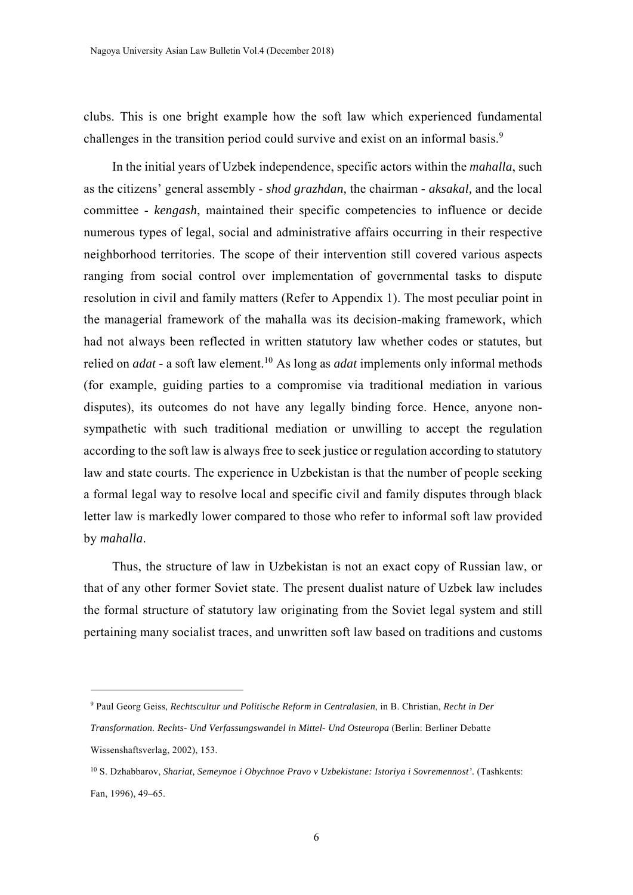clubs. This is one bright example how the soft law which experienced fundamental challenges in the transition period could survive and exist on an informal basis.<sup>9</sup>

In the initial years of Uzbek independence, specific actors within the *mahalla*, such as the citizens' general assembly - *shod grazhdan,* the chairman *- aksakal,* and the local committee - *kengash*, maintained their specific competencies to influence or decide numerous types of legal, social and administrative affairs occurring in their respective neighborhood territories. The scope of their intervention still covered various aspects ranging from social control over implementation of governmental tasks to dispute resolution in civil and family matters (Refer to Appendix 1). The most peculiar point in the managerial framework of the mahalla was its decision-making framework, which had not always been reflected in written statutory law whether codes or statutes, but relied on *adat* - a soft law element.<sup>10</sup> As long as *adat* implements only informal methods (for example, guiding parties to a compromise via traditional mediation in various disputes), its outcomes do not have any legally binding force. Hence, anyone nonsympathetic with such traditional mediation or unwilling to accept the regulation according to the soft law is always free to seek justice or regulation according to statutory law and state courts. The experience in Uzbekistan is that the number of people seeking a formal legal way to resolve local and specific civil and family disputes through black letter law is markedly lower compared to those who refer to informal soft law provided by *mahalla*.

Thus, the structure of law in Uzbekistan is not an exact copy of Russian law, or that of any other former Soviet state. The present dualist nature of Uzbek law includes the formal structure of statutory law originating from the Soviet legal system and still pertaining many socialist traces, and unwritten soft law based on traditions and customs

<sup>9</sup> Paul Georg Geiss, *Rechtscultur und Politische Reform in Centralasien*, in B. Christian, *Recht in Der* 

*Transformation. Rechts- Und Verfassungswandel in Mittel- Und Osteuropa* (Berlin: Berliner Debatte Wissenshaftsverlag, 2002), 153.

<sup>10</sup> S. Dzhabbarov, *Shariat, Semeynoe i Obychnoe Pravo v Uzbekistane: Istoriya i Sovremennost'.* (Tashkents: Fan, 1996), 49–65.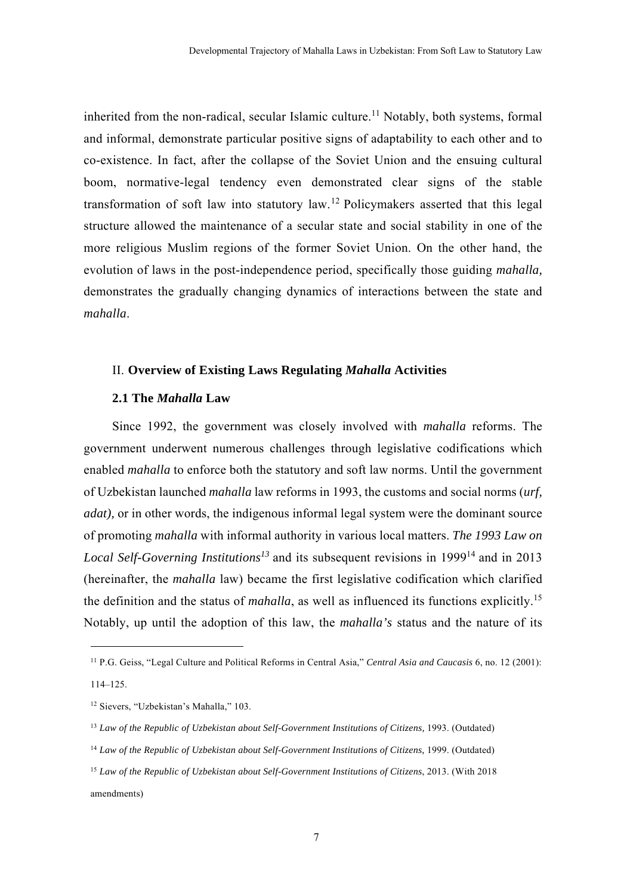inherited from the non-radical, secular Islamic culture.<sup>11</sup> Notably, both systems, formal and informal, demonstrate particular positive signs of adaptability to each other and to co-existence. In fact, after the collapse of the Soviet Union and the ensuing cultural boom, normative-legal tendency even demonstrated clear signs of the stable transformation of soft law into statutory law.12 Policymakers asserted that this legal structure allowed the maintenance of a secular state and social stability in one of the more religious Muslim regions of the former Soviet Union. On the other hand, the evolution of laws in the post-independence period, specifically those guiding *mahalla,* demonstrates the gradually changing dynamics of interactions between the state and *mahalla*.

## II. **Overview of Existing Laws Regulating** *Mahalla* **Activities**

#### **2.1 The** *Mahalla* **Law**

Since 1992, the government was closely involved with *mahalla* reforms. The government underwent numerous challenges through legislative codifications which enabled *mahalla* to enforce both the statutory and soft law norms. Until the government of Uzbekistan launched *mahalla* law reforms in 1993, the customs and social norms (*urf, adat*), or in other words, the indigenous informal legal system were the dominant source of promoting *mahalla* with informal authority in various local matters. *The 1993 Law on Local Self-Governing Institutions*<sup>13</sup> and its subsequent revisions in 1999<sup>14</sup> and in 2013 (hereinafter, the *mahalla* law) became the first legislative codification which clarified the definition and the status of *mahalla*, as well as influenced its functions explicitly.<sup>15</sup> Notably, up until the adoption of this law, the *mahalla's* status and the nature of its

-

<sup>11</sup> P.G. Geiss, "Legal Culture and Political Reforms in Central Asia," *Central Asia and Caucasis* 6, no. 12 (2001): 114–125.

<sup>12</sup> Sievers, "Uzbekistan's Mahalla," 103.

<sup>&</sup>lt;sup>13</sup> Law of the Republic of Uzbekistan about Self-Government Institutions of Citizens, 1993. (Outdated)

<sup>14</sup> *Law of the Republic of Uzbekistan about Self-Government Institutions of Citizens,* 1999. (Outdated)

<sup>15</sup> *Law of the Republic of Uzbekistan about Self-Government Institutions of Citizens*, 2013. (With 2018 amendments)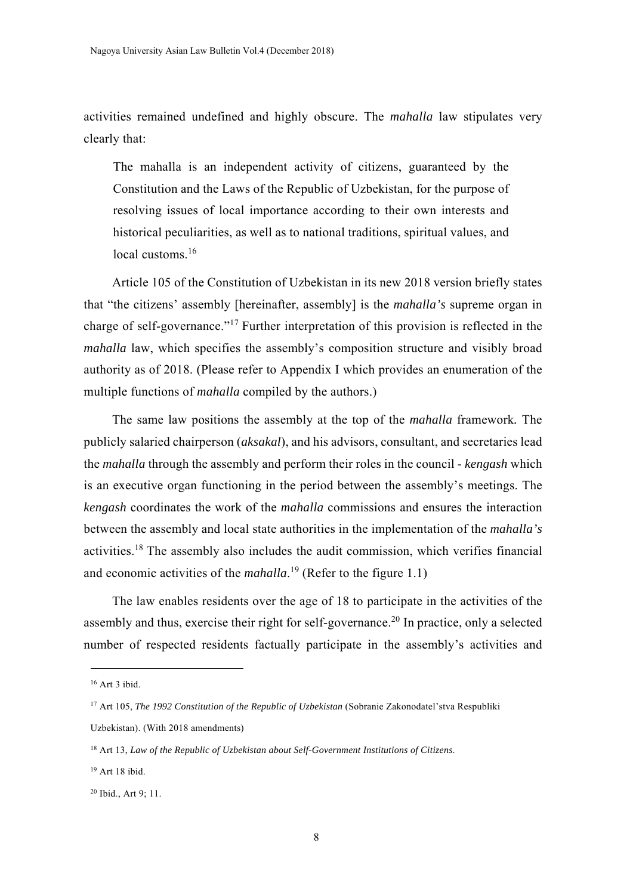activities remained undefined and highly obscure. The *mahalla* law stipulates very clearly that:

The mahalla is an independent activity of citizens, guaranteed by the Constitution and the Laws of the Republic of Uzbekistan, for the purpose of resolving issues of local importance according to their own interests and historical peculiarities, as well as to national traditions, spiritual values, and local customs<sup>16</sup>

Article 105 of the Constitution of Uzbekistan in its new 2018 version briefly states that "the citizens' assembly [hereinafter, assembly] is the *mahalla's* supreme organ in charge of self-governance."17 Further interpretation of this provision is reflected in the *mahalla* law, which specifies the assembly's composition structure and visibly broad authority as of 2018. (Please refer to Appendix I which provides an enumeration of the multiple functions of *mahalla* compiled by the authors.)

The same law positions the assembly at the top of the *mahalla* framework*.* The publicly salaried chairperson (*aksakal*), and his advisors, consultant, and secretaries lead the *mahalla* through the assembly and perform their roles in the council - *kengash* which is an executive organ functioning in the period between the assembly's meetings. The *kengash* coordinates the work of the *mahalla* commissions and ensures the interaction between the assembly and local state authorities in the implementation of the *mahalla's* activities.18 The assembly also includes the audit commission, which verifies financial and economic activities of the *mahalla*. 19 (Refer to the figure 1.1)

The law enables residents over the age of 18 to participate in the activities of the assembly and thus, exercise their right for self-governance.<sup>20</sup> In practice, only a selected number of respected residents factually participate in the assembly's activities and

-

 $16$  Art 3 ibid.

<sup>17</sup> Art 105, *The 1992 Constitution of the Republic of Uzbekistan* (Sobranie Zakonodatel'stva Respubliki

Uzbekistan). (With 2018 amendments)

<sup>18</sup> Art 13, *Law of the Republic of Uzbekistan about Self-Government Institutions of Citizens*.

<sup>19</sup> Art 18 ibid.

<sup>20</sup> Ibid., Art 9; 11.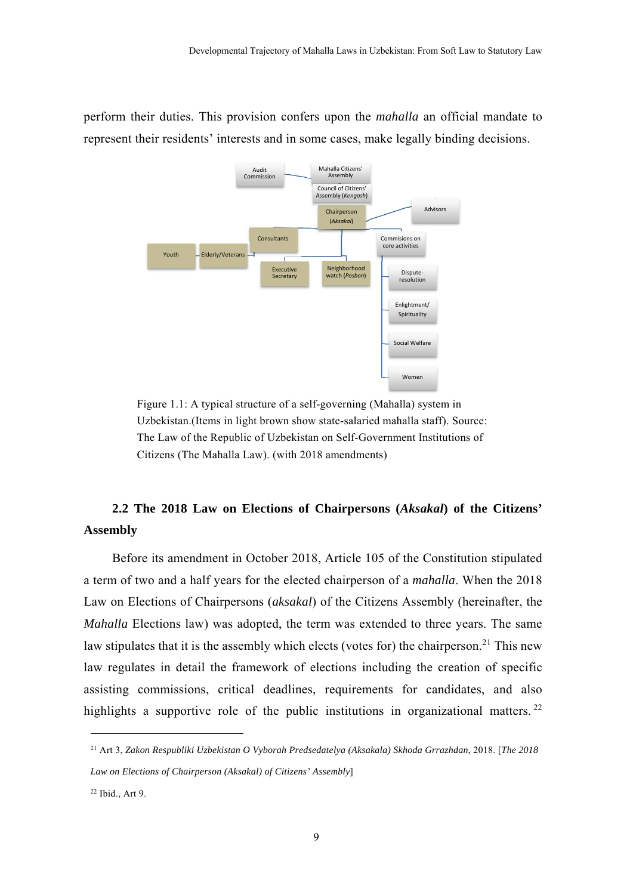

perform their duties. This provision confers upon the *mahalla* an official mandate to represent their residents' interests and in some cases, make legally binding decisions.

> Figure 1.1: A typical structure of a self-governing (Mahalla) system in Uzbekistan.(Items in light brown show state-salaried mahalla staff). Source: The Law of the Republic of Uzbekistan on Self-Government Institutions of Citizens (The Mahalla Law). (with 2018 amendments)

# **2.2 The 2018 Law on Elections of Chairpersons (***Aksakal***) of the Citizens' Assembly**

Before its amendment in October 2018, Article 105 of the Constitution stipulated a term of two and a half years for the elected chairperson of a *mahalla*. When the 2018 Law on Elections of Chairpersons (*aksakal*) of the Citizens Assembly (hereinafter, the *Mahalla* Elections law) was adopted, the term was extended to three years. The same law stipulates that it is the assembly which elects (votes for) the chairperson.<sup>21</sup> This new law regulates in detail the framework of elections including the creation of specific assisting commissions, critical deadlines, requirements for candidates, and also highlights a supportive role of the public institutions in organizational matters.  $2^2$ 

21 Art 3, *Zakon Respubliki Uzbekistan O Vyborah Predsedatelya (Aksakala) Skhoda Grrazhdan*, 2018. [*The 2018 Law on Elections of Chairperson (Aksakal) of Citizens' Assembly*]

<sup>22</sup> Ibid., Art 9.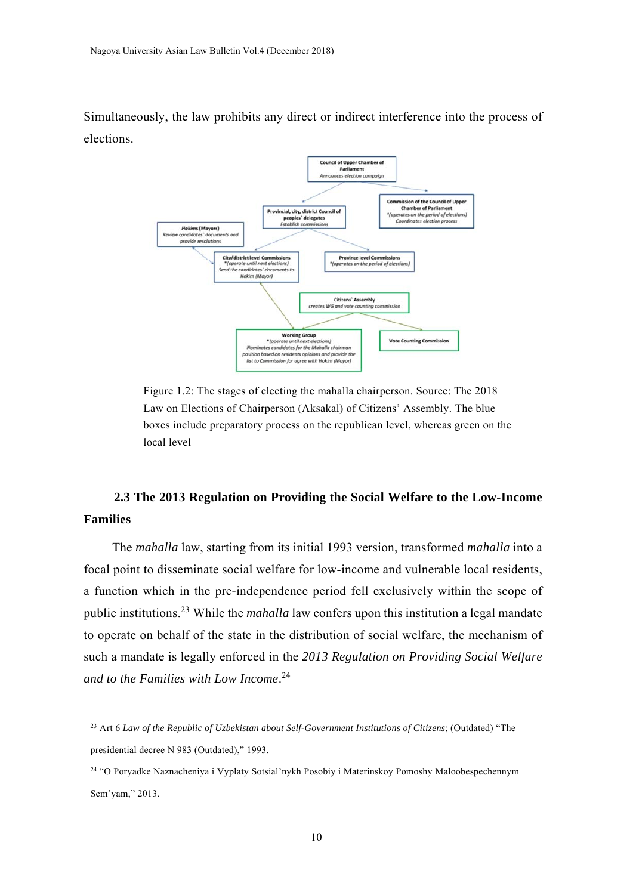Simultaneously, the law prohibits any direct or indirect interference into the process of elections.



Figure 1.2: The stages of electing the mahalla chairperson. Source: The 2018 Law on Elections of Chairperson (Aksakal) of Citizens' Assembly. The blue boxes include preparatory process on the republican level, whereas green on the local level

## **2.3 The 2013 Regulation on Providing the Social Welfare to the Low-Income Families**

The *mahalla* law, starting from its initial 1993 version, transformed *mahalla* into a focal point to disseminate social welfare for low-income and vulnerable local residents, a function which in the pre-independence period fell exclusively within the scope of public institutions.23 While the *mahalla* law confers upon this institution a legal mandate to operate on behalf of the state in the distribution of social welfare, the mechanism of such a mandate is legally enforced in the *2013 Regulation on Providing Social Welfare and to the Families with Low Income*. 24

<sup>23</sup> Art 6 *Law of the Republic of Uzbekistan about Self-Government Institutions of Citizens*; (Outdated) "The presidential decree N 983 (Outdated)," 1993.

<sup>24 &</sup>quot;O Poryadke Naznacheniya i Vyplaty Sotsial'nykh Posobiy i Materinskoy Pomoshy Maloobespechennym Sem'yam," 2013.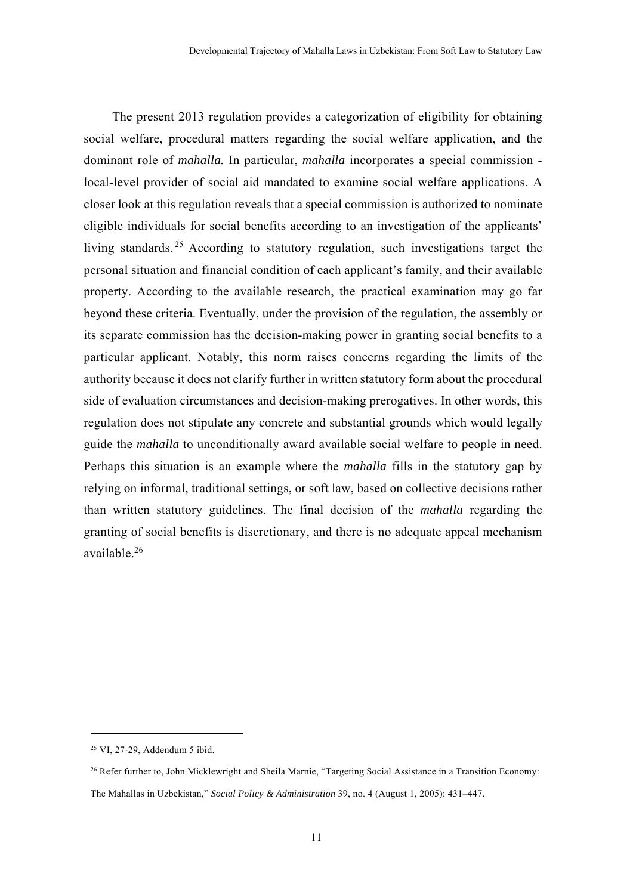The present 2013 regulation provides a categorization of eligibility for obtaining social welfare, procedural matters regarding the social welfare application, and the dominant role of *mahalla.* In particular, *mahalla* incorporates a special commission local-level provider of social aid mandated to examine social welfare applications. A closer look at this regulation reveals that a special commission is authorized to nominate eligible individuals for social benefits according to an investigation of the applicants' living standards. 25 According to statutory regulation, such investigations target the personal situation and financial condition of each applicant's family, and their available property. According to the available research, the practical examination may go far beyond these criteria. Eventually, under the provision of the regulation, the assembly or its separate commission has the decision-making power in granting social benefits to a particular applicant. Notably, this norm raises concerns regarding the limits of the authority because it does not clarify further in written statutory form about the procedural side of evaluation circumstances and decision-making prerogatives. In other words, this regulation does not stipulate any concrete and substantial grounds which would legally guide the *mahalla* to unconditionally award available social welfare to people in need. Perhaps this situation is an example where the *mahalla* fills in the statutory gap by relying on informal, traditional settings, or soft law, based on collective decisions rather than written statutory guidelines. The final decision of the *mahalla* regarding the granting of social benefits is discretionary, and there is no adequate appeal mechanism available.26

<sup>25</sup> VI, 27-29, Addendum 5 ibid.

<sup>&</sup>lt;sup>26</sup> Refer further to, John Micklewright and Sheila Marnie, "Targeting Social Assistance in a Transition Economy: The Mahallas in Uzbekistan," *Social Policy & Administration* 39, no. 4 (August 1, 2005): 431–447.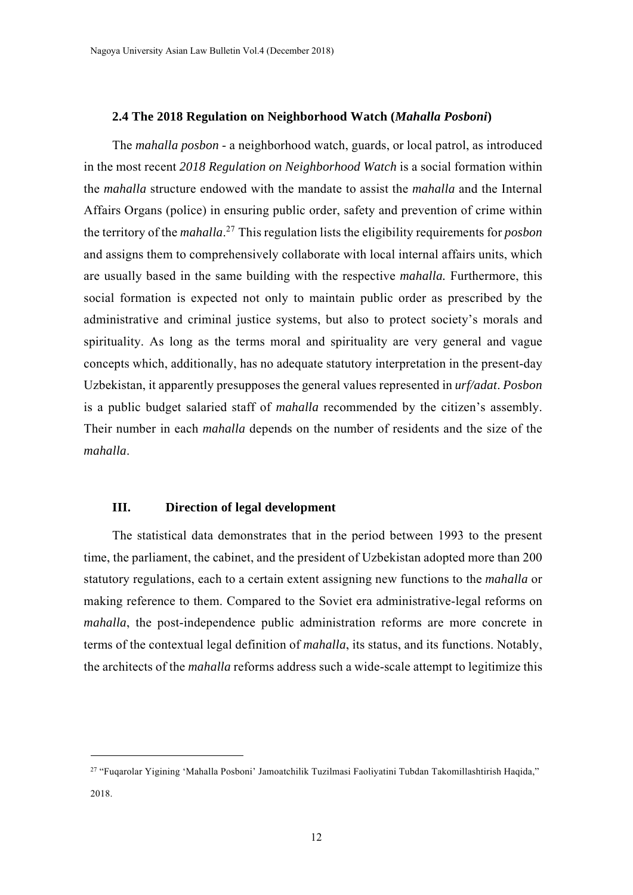#### **2.4 The 2018 Regulation on Neighborhood Watch (***Mahalla Posboni***)**

The *mahalla posbon* - a neighborhood watch, guards, or local patrol, as introduced in the most recent *2018 Regulation on Neighborhood Watch* is a social formation within the *mahalla* structure endowed with the mandate to assist the *mahalla* and the Internal Affairs Organs (police) in ensuring public order, safety and prevention of crime within the territory of the *mahalla*. 27 This regulation lists the eligibility requirements for *posbon* and assigns them to comprehensively collaborate with local internal affairs units, which are usually based in the same building with the respective *mahalla.* Furthermore, this social formation is expected not only to maintain public order as prescribed by the administrative and criminal justice systems, but also to protect society's morals and spirituality. As long as the terms moral and spirituality are very general and vague concepts which, additionally, has no adequate statutory interpretation in the present-day Uzbekistan, it apparently presupposes the general values represented in *urf/adat*. *Posbon* is a public budget salaried staff of *mahalla* recommended by the citizen's assembly. Their number in each *mahalla* depends on the number of residents and the size of the *mahalla*.

## **III. Direction of legal development**

-

The statistical data demonstrates that in the period between 1993 to the present time, the parliament, the cabinet, and the president of Uzbekistan adopted more than 200 statutory regulations, each to a certain extent assigning new functions to the *mahalla* or making reference to them. Compared to the Soviet era administrative-legal reforms on *mahalla*, the post-independence public administration reforms are more concrete in terms of the contextual legal definition of *mahalla*, its status, and its functions. Notably, the architects of the *mahalla* reforms address such a wide-scale attempt to legitimize this

<sup>27 &</sup>quot;Fuqarolar Yigining 'Mahalla Posboni' Jamoatchilik Tuzilmasi Faoliyatini Tubdan Takomillashtirish Haqida," 2018.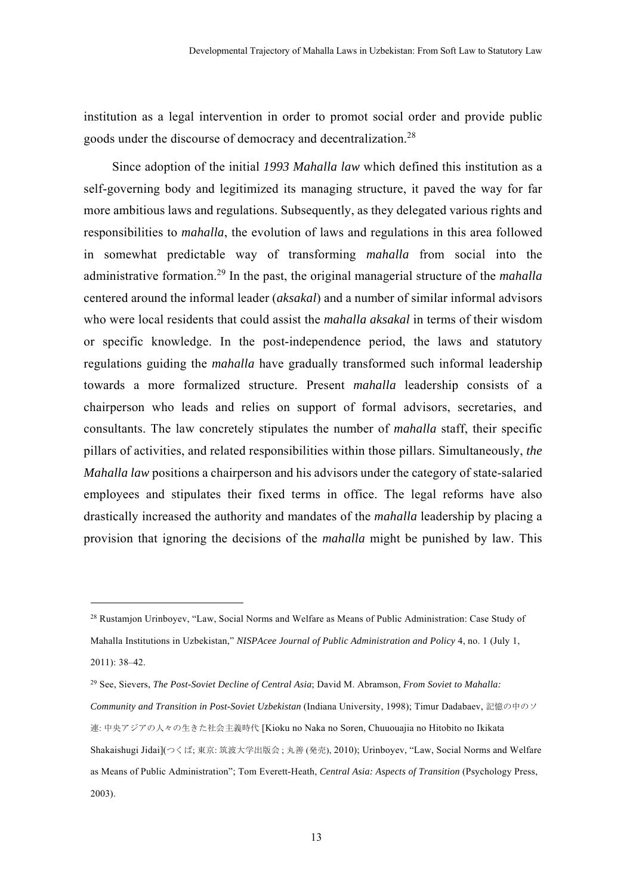institution as a legal intervention in order to promot social order and provide public goods under the discourse of democracy and decentralization.28

Since adoption of the initial *1993 Mahalla law* which defined this institution as a self-governing body and legitimized its managing structure, it paved the way for far more ambitious laws and regulations. Subsequently, as they delegated various rights and responsibilities to *mahalla*, the evolution of laws and regulations in this area followed in somewhat predictable way of transforming *mahalla* from social into the administrative formation.29 In the past, the original managerial structure of the *mahalla* centered around the informal leader (*aksakal*) and a number of similar informal advisors who were local residents that could assist the *mahalla aksakal* in terms of their wisdom or specific knowledge. In the post-independence period, the laws and statutory regulations guiding the *mahalla* have gradually transformed such informal leadership towards a more formalized structure. Present *mahalla* leadership consists of a chairperson who leads and relies on support of formal advisors, secretaries, and consultants. The law concretely stipulates the number of *mahalla* staff, their specific pillars of activities, and related responsibilities within those pillars. Simultaneously, *the Mahalla law* positions a chairperson and his advisors under the category of state-salaried employees and stipulates their fixed terms in office. The legal reforms have also drastically increased the authority and mandates of the *mahalla* leadership by placing a provision that ignoring the decisions of the *mahalla* might be punished by law. This

<sup>28</sup> Rustamjon Urinboyev, "Law, Social Norms and Welfare as Means of Public Administration: Case Study of Mahalla Institutions in Uzbekistan," *NISPAcee Journal of Public Administration and Policy* 4, no. 1 (July 1, 2011): 38–42.

<sup>29</sup> See, Sievers, *The Post-Soviet Decline of Central Asia*; David M. Abramson, *From Soviet to Mahalla: Community and Transition in Post-Soviet Uzbekistan* (Indiana University, 1998); Timur Dadabaev, 記憶の中のソ 連: 中央アジアの人々の生きた社会主義時代 [Kioku no Naka no Soren, Chuuouajia no Hitobito no Ikikata Shakaishugi Jidai](つくば; 東京: 筑波大学出版会 ; 丸善 (発売), 2010); Urinboyev, "Law, Social Norms and Welfare as Means of Public Administration"; Tom Everett-Heath, *Central Asia: Aspects of Transition* (Psychology Press, 2003).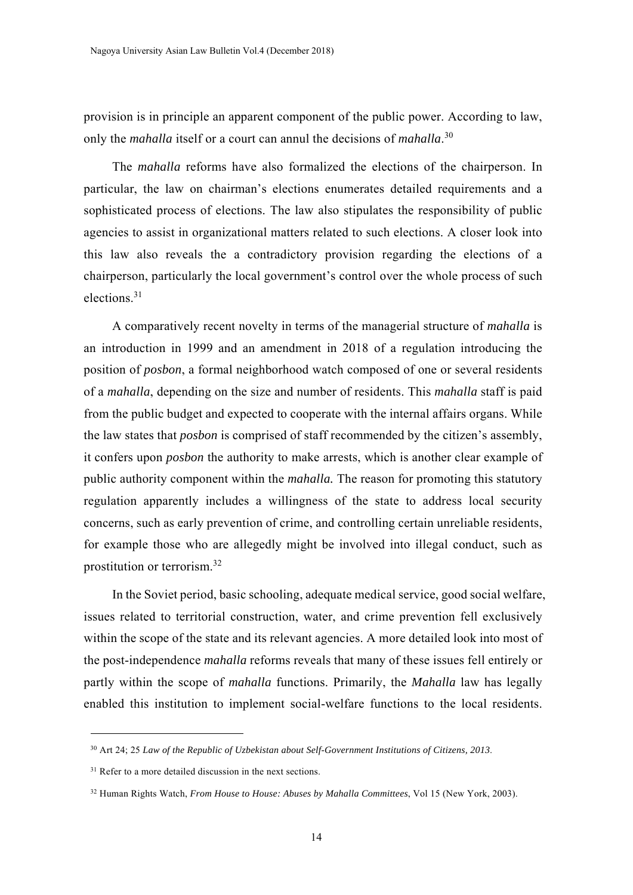provision is in principle an apparent component of the public power. According to law, only the *mahalla* itself or a court can annul the decisions of *mahalla*. 30

The *mahalla* reforms have also formalized the elections of the chairperson. In particular, the law on chairman's elections enumerates detailed requirements and a sophisticated process of elections. The law also stipulates the responsibility of public agencies to assist in organizational matters related to such elections. A closer look into this law also reveals the a contradictory provision regarding the elections of a chairperson, particularly the local government's control over the whole process of such elections.31

A comparatively recent novelty in terms of the managerial structure of *mahalla* is an introduction in 1999 and an amendment in 2018 of a regulation introducing the position of *posbon*, a formal neighborhood watch composed of one or several residents of a *mahalla*, depending on the size and number of residents. This *mahalla* staff is paid from the public budget and expected to cooperate with the internal affairs organs. While the law states that *posbon* is comprised of staff recommended by the citizen's assembly, it confers upon *posbon* the authority to make arrests, which is another clear example of public authority component within the *mahalla.* The reason for promoting this statutory regulation apparently includes a willingness of the state to address local security concerns, such as early prevention of crime, and controlling certain unreliable residents, for example those who are allegedly might be involved into illegal conduct, such as prostitution or terrorism.32

In the Soviet period, basic schooling, adequate medical service, good social welfare, issues related to territorial construction, water, and crime prevention fell exclusively within the scope of the state and its relevant agencies. A more detailed look into most of the post-independence *mahalla* reforms reveals that many of these issues fell entirely or partly within the scope of *mahalla* functions. Primarily, the *Mahalla* law has legally enabled this institution to implement social-welfare functions to the local residents.

<sup>30</sup> Art 24; 25 *Law of the Republic of Uzbekistan about Self-Government Institutions of Citizens, 2013*.

<sup>&</sup>lt;sup>31</sup> Refer to a more detailed discussion in the next sections.

<sup>32</sup> Human Rights Watch, *From House to House: Abuses by Mahalla Committees*, Vol 15 (New York, 2003).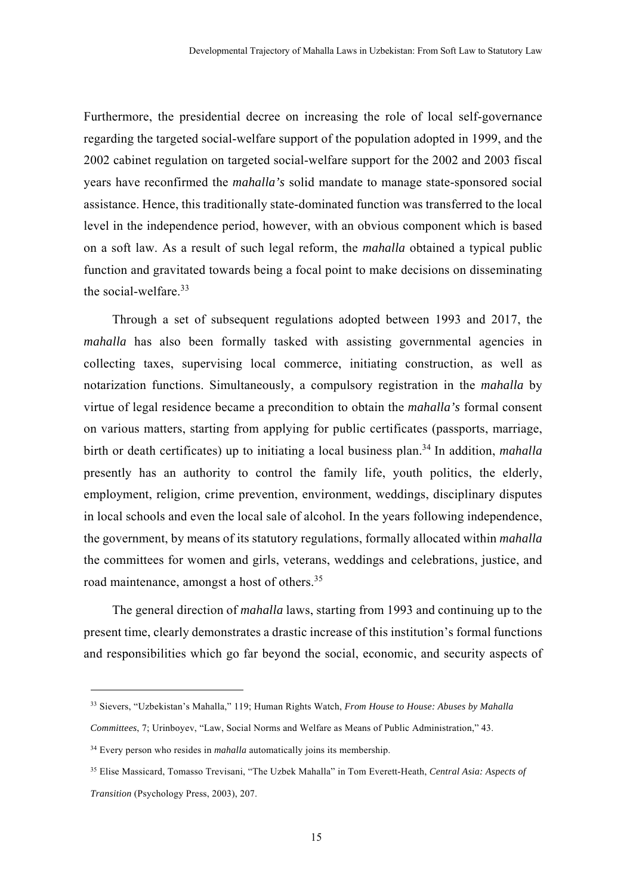Furthermore, the presidential decree on increasing the role of local self-governance regarding the targeted social-welfare support of the population adopted in 1999, and the 2002 cabinet regulation on targeted social-welfare support for the 2002 and 2003 fiscal years have reconfirmed the *mahalla's* solid mandate to manage state-sponsored social assistance. Hence, this traditionally state-dominated function was transferred to the local level in the independence period, however, with an obvious component which is based on a soft law. As a result of such legal reform, the *mahalla* obtained a typical public function and gravitated towards being a focal point to make decisions on disseminating the social-welfare.<sup>33</sup>

Through a set of subsequent regulations adopted between 1993 and 2017, the *mahalla* has also been formally tasked with assisting governmental agencies in collecting taxes, supervising local commerce, initiating construction, as well as notarization functions. Simultaneously, a compulsory registration in the *mahalla* by virtue of legal residence became a precondition to obtain the *mahalla's* formal consent on various matters, starting from applying for public certificates (passports, marriage, birth or death certificates) up to initiating a local business plan.<sup>34</sup> In addition, *mahalla* presently has an authority to control the family life, youth politics, the elderly, employment, religion, crime prevention, environment, weddings, disciplinary disputes in local schools and even the local sale of alcohol. In the years following independence, the government, by means of its statutory regulations, formally allocated within *mahalla* the committees for women and girls, veterans, weddings and celebrations, justice, and road maintenance, amongst a host of others.<sup>35</sup>

The general direction of *mahalla* laws, starting from 1993 and continuing up to the present time, clearly demonstrates a drastic increase of this institution's formal functions and responsibilities which go far beyond the social, economic, and security aspects of

*Committees*, 7; Urinboyev, "Law, Social Norms and Welfare as Means of Public Administration," 43.

<sup>33</sup> Sievers, "Uzbekistan's Mahalla," 119; Human Rights Watch, *From House to House: Abuses by Mahalla* 

<sup>&</sup>lt;sup>34</sup> Every person who resides in *mahalla* automatically joins its membership.

<sup>35</sup> Elise Massicard, Tomasso Trevisani, "The Uzbek Mahalla" in Tom Everett-Heath, *Central Asia: Aspects of Transition* (Psychology Press, 2003), 207.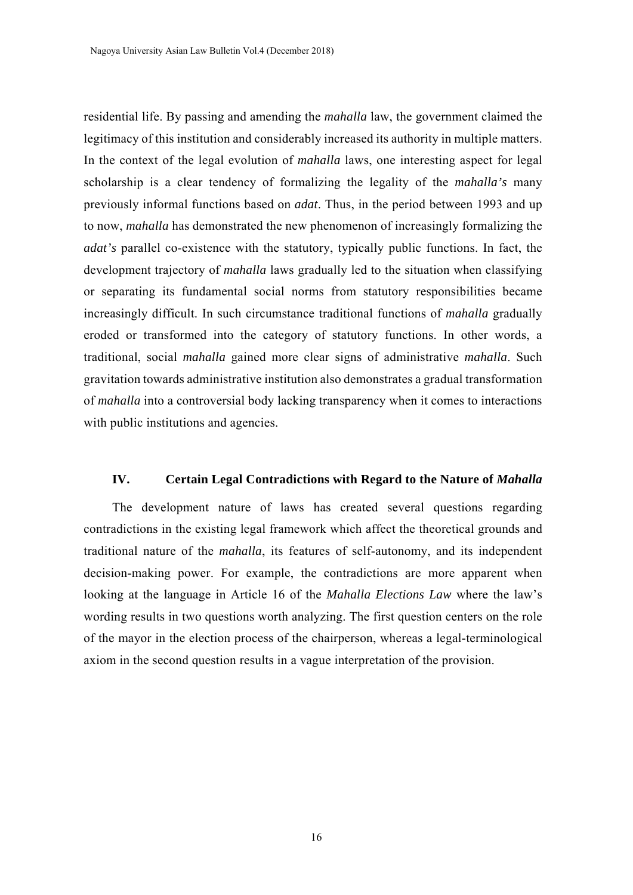residential life. By passing and amending the *mahalla* law, the government claimed the legitimacy of this institution and considerably increased its authority in multiple matters. In the context of the legal evolution of *mahalla* laws, one interesting aspect for legal scholarship is a clear tendency of formalizing the legality of the *mahalla's* many previously informal functions based on *adat*. Thus, in the period between 1993 and up to now, *mahalla* has demonstrated the new phenomenon of increasingly formalizing the *adat's* parallel co-existence with the statutory, typically public functions. In fact, the development trajectory of *mahalla* laws gradually led to the situation when classifying or separating its fundamental social norms from statutory responsibilities became increasingly difficult. In such circumstance traditional functions of *mahalla* gradually eroded or transformed into the category of statutory functions. In other words, a traditional, social *mahalla* gained more clear signs of administrative *mahalla*. Such gravitation towards administrative institution also demonstrates a gradual transformation of *mahalla* into a controversial body lacking transparency when it comes to interactions with public institutions and agencies.

## **IV. Certain Legal Contradictions with Regard to the Nature of** *Mahalla*

The development nature of laws has created several questions regarding contradictions in the existing legal framework which affect the theoretical grounds and traditional nature of the *mahalla*, its features of self-autonomy, and its independent decision-making power. For example, the contradictions are more apparent when looking at the language in Article 16 of the *Mahalla Elections Law* where the law's wording results in two questions worth analyzing. The first question centers on the role of the mayor in the election process of the chairperson, whereas a legal-terminological axiom in the second question results in a vague interpretation of the provision.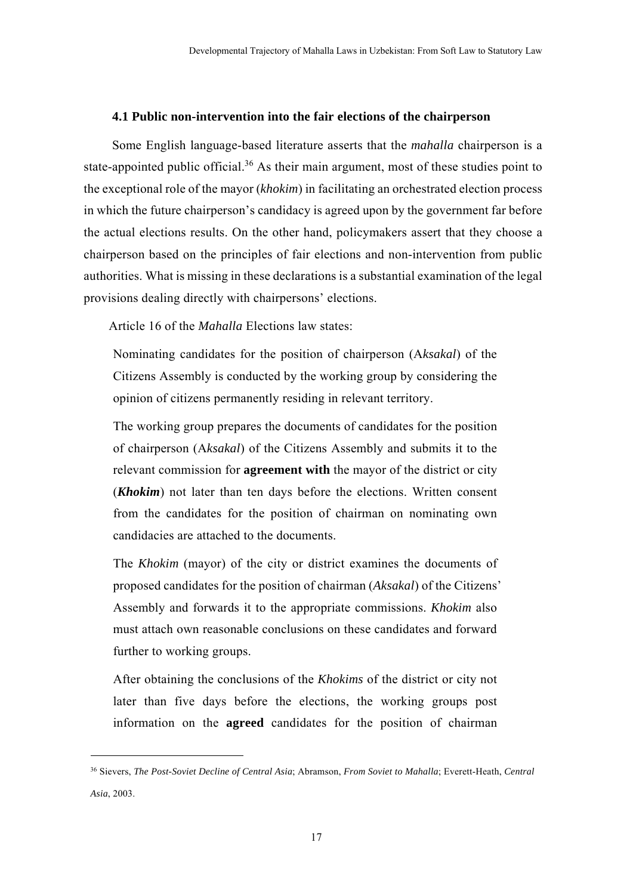## **4.1 Public non-intervention into the fair elections of the chairperson**

Some English language-based literature asserts that the *mahalla* chairperson is a state-appointed public official.<sup>36</sup> As their main argument, most of these studies point to the exceptional role of the mayor (*khokim*) in facilitating an orchestrated election process in which the future chairperson's candidacy is agreed upon by the government far before the actual elections results. On the other hand, policymakers assert that they choose a chairperson based on the principles of fair elections and non-intervention from public authorities. What is missing in these declarations is a substantial examination of the legal provisions dealing directly with chairpersons' elections.

Article 16 of the *Mahalla* Elections law states:

-

Nominating candidates for the position of chairperson (A*ksakal*) of the Citizens Assembly is conducted by the working group by considering the opinion of citizens permanently residing in relevant territory.

The working group prepares the documents of candidates for the position of chairperson (A*ksakal*) of the Citizens Assembly and submits it to the relevant commission for **agreement with** the mayor of the district or city (*Khokim*) not later than ten days before the elections. Written consent from the candidates for the position of chairman on nominating own candidacies are attached to the documents.

The *Khokim* (mayor) of the city or district examines the documents of proposed candidates for the position of chairman (*Aksakal*) of the Citizens' Assembly and forwards it to the appropriate commissions. *Khokim* also must attach own reasonable conclusions on these candidates and forward further to working groups.

After obtaining the conclusions of the *Khokims* of the district or city not later than five days before the elections, the working groups post information on the **agreed** candidates for the position of chairman

<sup>36</sup> Sievers, *The Post-Soviet Decline of Central Asia*; Abramson, *From Soviet to Mahalla*; Everett-Heath, *Central Asia*, 2003.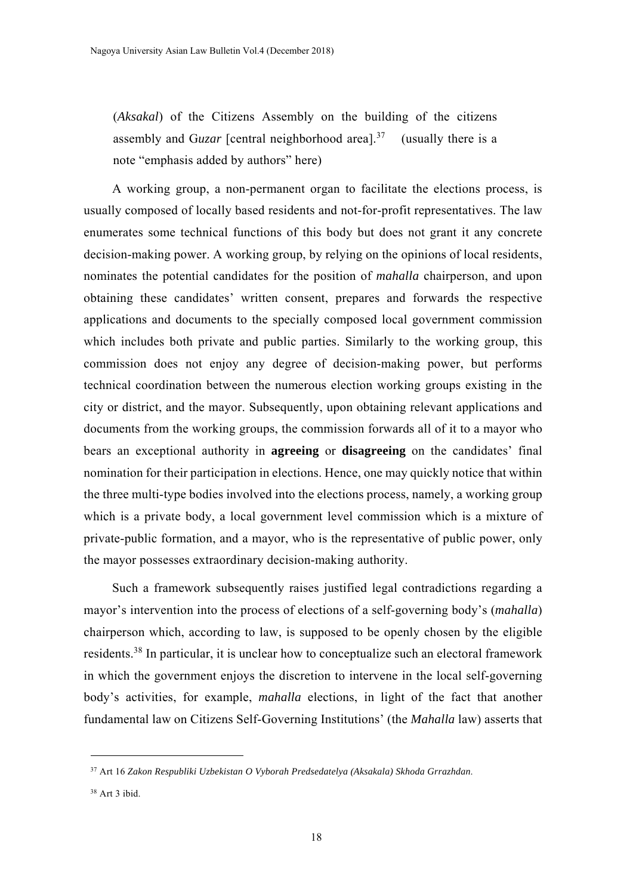(*Aksakal*) of the Citizens Assembly on the building of the citizens assembly and Guzar [central neighborhood area].<sup>37</sup> (usually there is a note "emphasis added by authors" here)

A working group, a non-permanent organ to facilitate the elections process, is usually composed of locally based residents and not-for-profit representatives. The law enumerates some technical functions of this body but does not grant it any concrete decision-making power. A working group, by relying on the opinions of local residents, nominates the potential candidates for the position of *mahalla* chairperson, and upon obtaining these candidates' written consent, prepares and forwards the respective applications and documents to the specially composed local government commission which includes both private and public parties. Similarly to the working group, this commission does not enjoy any degree of decision-making power, but performs technical coordination between the numerous election working groups existing in the city or district, and the mayor. Subsequently, upon obtaining relevant applications and documents from the working groups, the commission forwards all of it to a mayor who bears an exceptional authority in **agreeing** or **disagreeing** on the candidates' final nomination for their participation in elections. Hence, one may quickly notice that within the three multi-type bodies involved into the elections process, namely, a working group which is a private body, a local government level commission which is a mixture of private-public formation, and a mayor, who is the representative of public power, only the mayor possesses extraordinary decision-making authority.

Such a framework subsequently raises justified legal contradictions regarding a mayor's intervention into the process of elections of a self-governing body's (*mahalla*) chairperson which, according to law, is supposed to be openly chosen by the eligible residents.38 In particular, it is unclear how to conceptualize such an electoral framework in which the government enjoys the discretion to intervene in the local self-governing body's activities, for example, *mahalla* elections, in light of the fact that another fundamental law on Citizens Self-Governing Institutions' (the *Mahalla* law) asserts that

-

<sup>37</sup> Art 16 *Zakon Respubliki Uzbekistan O Vyborah Predsedatelya (Aksakala) Skhoda Grrazhdan*.

<sup>38</sup> Art 3 ibid.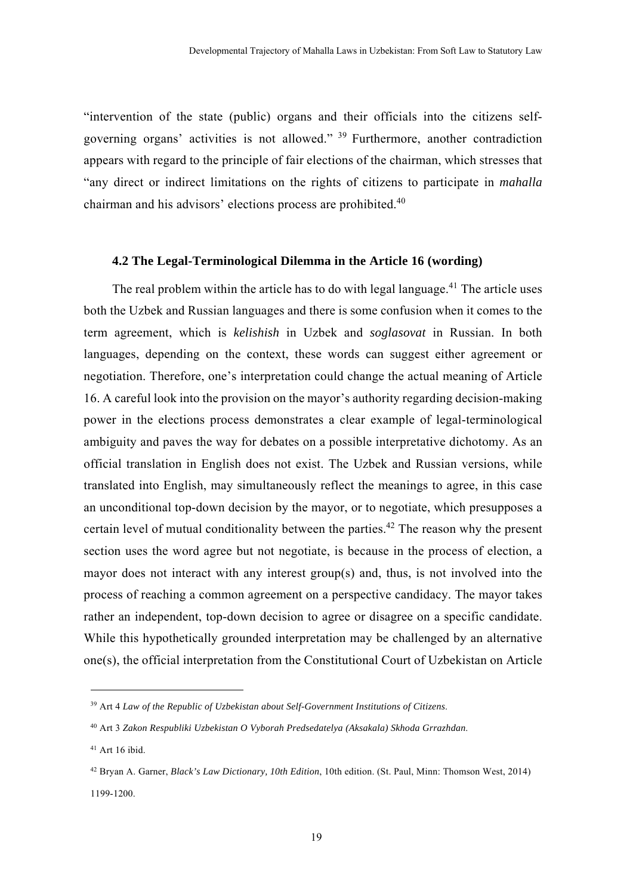"intervention of the state (public) organs and their officials into the citizens selfgoverning organs' activities is not allowed." 39 Furthermore, another contradiction appears with regard to the principle of fair elections of the chairman, which stresses that "any direct or indirect limitations on the rights of citizens to participate in *mahalla* chairman and his advisors' elections process are prohibited.<sup>40</sup>

### **4.2 The Legal-Terminological Dilemma in the Article 16 (wording)**

The real problem within the article has to do with legal language.<sup>41</sup> The article uses both the Uzbek and Russian languages and there is some confusion when it comes to the term agreement, which is *kelishish* in Uzbek and *soglasovat* in Russian. In both languages, depending on the context, these words can suggest either agreement or negotiation. Therefore, one's interpretation could change the actual meaning of Article 16. A careful look into the provision on the mayor's authority regarding decision-making power in the elections process demonstrates a clear example of legal-terminological ambiguity and paves the way for debates on a possible interpretative dichotomy. As an official translation in English does not exist. The Uzbek and Russian versions, while translated into English, may simultaneously reflect the meanings to agree, in this case an unconditional top-down decision by the mayor, or to negotiate, which presupposes a certain level of mutual conditionality between the parties.<sup>42</sup> The reason why the present section uses the word agree but not negotiate, is because in the process of election, a mayor does not interact with any interest group(s) and, thus, is not involved into the process of reaching a common agreement on a perspective candidacy. The mayor takes rather an independent, top-down decision to agree or disagree on a specific candidate. While this hypothetically grounded interpretation may be challenged by an alternative one(s), the official interpretation from the Constitutional Court of Uzbekistan on Article

<sup>39</sup> Art 4 *Law of the Republic of Uzbekistan about Self-Government Institutions of Citizens*.

<sup>40</sup> Art 3 *Zakon Respubliki Uzbekistan O Vyborah Predsedatelya (Aksakala) Skhoda Grrazhdan*.

<sup>41</sup> Art 16 ibid.

<sup>42</sup> Bryan A. Garner, *Black's Law Dictionary, 10th Edition*, 10th edition. (St. Paul, Minn: Thomson West, 2014) 1199-1200.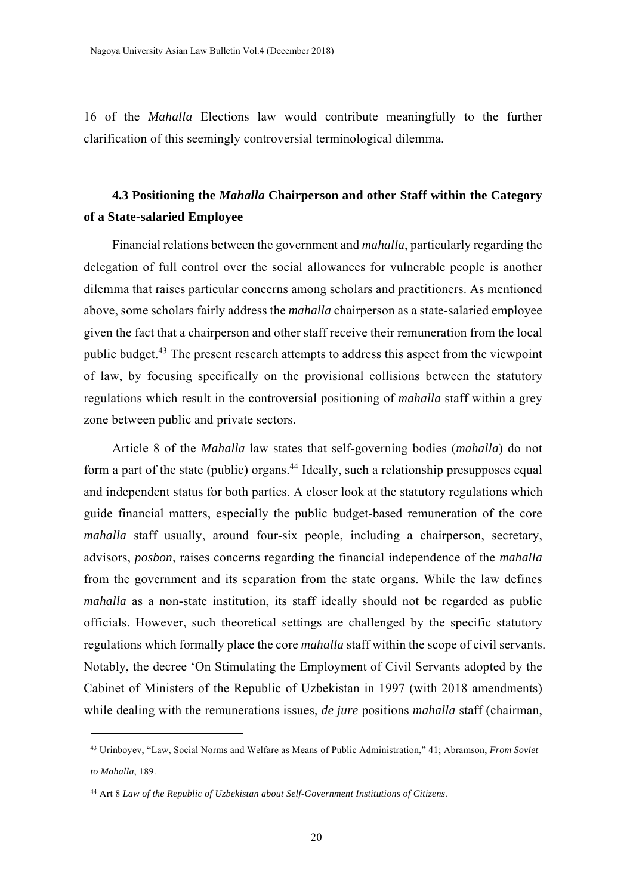16 of the *Mahalla* Elections law would contribute meaningfully to the further clarification of this seemingly controversial terminological dilemma.

# **4.3 Positioning the** *Mahalla* **Chairperson and other Staff within the Category of a State-salaried Employee**

Financial relations between the government and *mahalla*, particularly regarding the delegation of full control over the social allowances for vulnerable people is another dilemma that raises particular concerns among scholars and practitioners. As mentioned above, some scholars fairly address the *mahalla* chairperson as a state-salaried employee given the fact that a chairperson and other staff receive their remuneration from the local public budget.43 The present research attempts to address this aspect from the viewpoint of law, by focusing specifically on the provisional collisions between the statutory regulations which result in the controversial positioning of *mahalla* staff within a grey zone between public and private sectors.

Article 8 of the *Mahalla* law states that self-governing bodies (*mahalla*) do not form a part of the state (public) organs.<sup>44</sup> Ideally, such a relationship presupposes equal and independent status for both parties. A closer look at the statutory regulations which guide financial matters, especially the public budget-based remuneration of the core *mahalla* staff usually, around four-six people, including a chairperson, secretary, advisors, *posbon,* raises concerns regarding the financial independence of the *mahalla* from the government and its separation from the state organs. While the law defines *mahalla* as a non-state institution, its staff ideally should not be regarded as public officials. However, such theoretical settings are challenged by the specific statutory regulations which formally place the core *mahalla* staff within the scope of civil servants. Notably, the decree 'On Stimulating the Employment of Civil Servants adopted by the Cabinet of Ministers of the Republic of Uzbekistan in 1997 (with 2018 amendments) while dealing with the remunerations issues, *de jure* positions *mahalla* staff (chairman,

<sup>43</sup> Urinboyev, "Law, Social Norms and Welfare as Means of Public Administration," 41; Abramson, *From Soviet to Mahalla*, 189.

<sup>44</sup> Art 8 *Law of the Republic of Uzbekistan about Self-Government Institutions of Citizens*.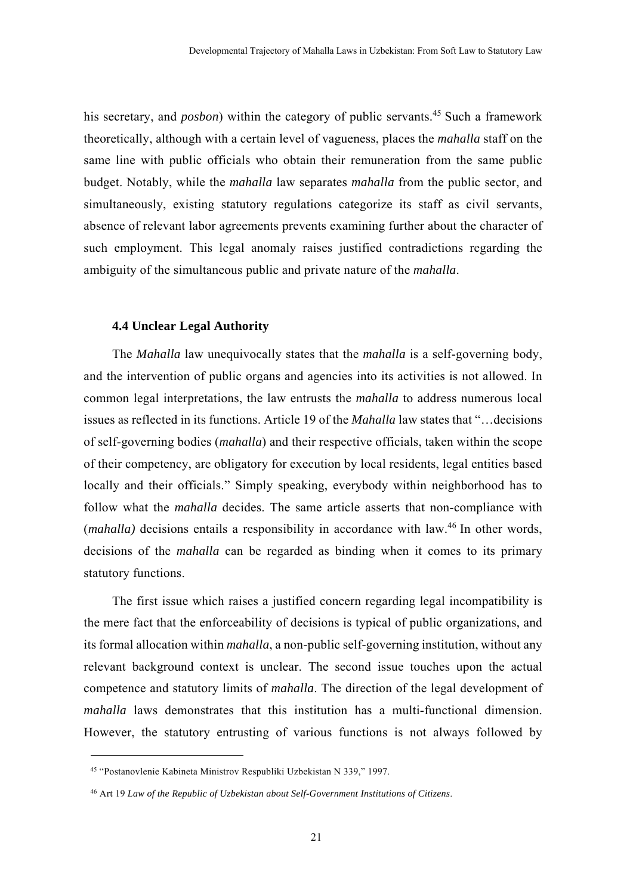his secretary, and *posbon*) within the category of public servants.<sup>45</sup> Such a framework theoretically, although with a certain level of vagueness, places the *mahalla* staff on the same line with public officials who obtain their remuneration from the same public budget. Notably, while the *mahalla* law separates *mahalla* from the public sector, and simultaneously, existing statutory regulations categorize its staff as civil servants, absence of relevant labor agreements prevents examining further about the character of such employment. This legal anomaly raises justified contradictions regarding the ambiguity of the simultaneous public and private nature of the *mahalla*.

## **4.4 Unclear Legal Authority**

The *Mahalla* law unequivocally states that the *mahalla* is a self-governing body, and the intervention of public organs and agencies into its activities is not allowed. In common legal interpretations, the law entrusts the *mahalla* to address numerous local issues as reflected in its functions. Article 19 of the *Mahalla* law states that "…decisions of self-governing bodies (*mahalla*) and their respective officials, taken within the scope of their competency, are obligatory for execution by local residents, legal entities based locally and their officials." Simply speaking, everybody within neighborhood has to follow what the *mahalla* decides. The same article asserts that non-compliance with (*mahalla*) decisions entails a responsibility in accordance with law.<sup>46</sup> In other words, decisions of the *mahalla* can be regarded as binding when it comes to its primary statutory functions.

The first issue which raises a justified concern regarding legal incompatibility is the mere fact that the enforceability of decisions is typical of public organizations, and its formal allocation within *mahalla*, a non-public self-governing institution, without any relevant background context is unclear. The second issue touches upon the actual competence and statutory limits of *mahalla*. The direction of the legal development of *mahalla* laws demonstrates that this institution has a multi-functional dimension. However, the statutory entrusting of various functions is not always followed by

-

<sup>45 &</sup>quot;Postanovlenie Kabineta Ministrov Respubliki Uzbekistan N 339," 1997.

<sup>46</sup> Art 19 *Law of the Republic of Uzbekistan about Self-Government Institutions of Citizens*.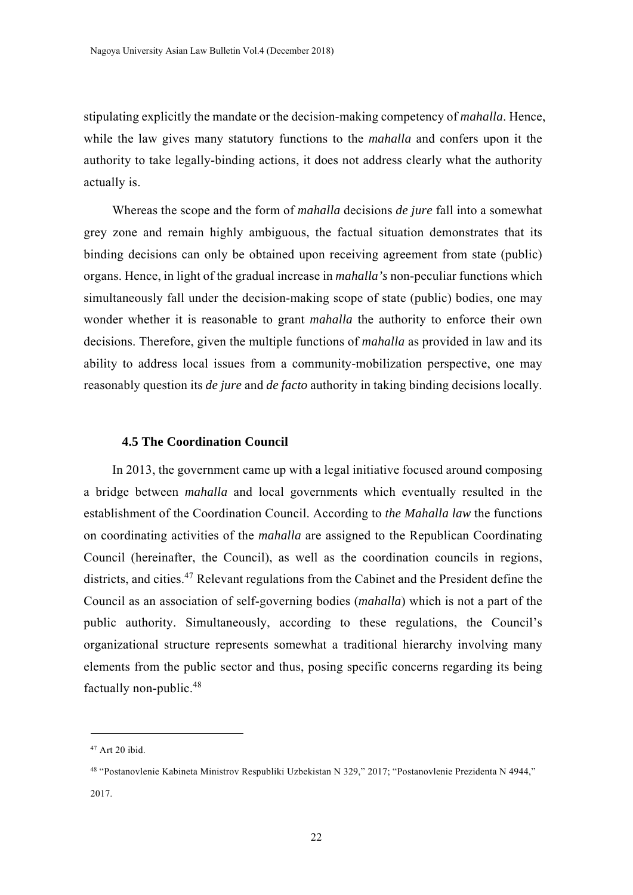stipulating explicitly the mandate or the decision-making competency of *mahalla*. Hence, while the law gives many statutory functions to the *mahalla* and confers upon it the authority to take legally-binding actions, it does not address clearly what the authority actually is.

Whereas the scope and the form of *mahalla* decisions *de jure* fall into a somewhat grey zone and remain highly ambiguous, the factual situation demonstrates that its binding decisions can only be obtained upon receiving agreement from state (public) organs. Hence, in light of the gradual increase in *mahalla's* non-peculiar functions which simultaneously fall under the decision-making scope of state (public) bodies, one may wonder whether it is reasonable to grant *mahalla* the authority to enforce their own decisions. Therefore, given the multiple functions of *mahalla* as provided in law and its ability to address local issues from a community-mobilization perspective, one may reasonably question its *de jure* and *de facto* authority in taking binding decisions locally.

#### **4.5 The Coordination Council**

In 2013, the government came up with a legal initiative focused around composing a bridge between *mahalla* and local governments which eventually resulted in the establishment of the Coordination Council. According to *the Mahalla law* the functions on coordinating activities of the *mahalla* are assigned to the Republican Coordinating Council (hereinafter, the Council), as well as the coordination councils in regions, districts, and cities.<sup>47</sup> Relevant regulations from the Cabinet and the President define the Council as an association of self-governing bodies (*mahalla*) which is not a part of the public authority. Simultaneously, according to these regulations, the Council's organizational structure represents somewhat a traditional hierarchy involving many elements from the public sector and thus, posing specific concerns regarding its being factually non-public.<sup>48</sup>

<sup>47</sup> Art 20 ibid.

<sup>48 &</sup>quot;Postanovlenie Kabineta Ministrov Respubliki Uzbekistan N 329," 2017; "Postanovlenie Prezidenta N 4944," 2017.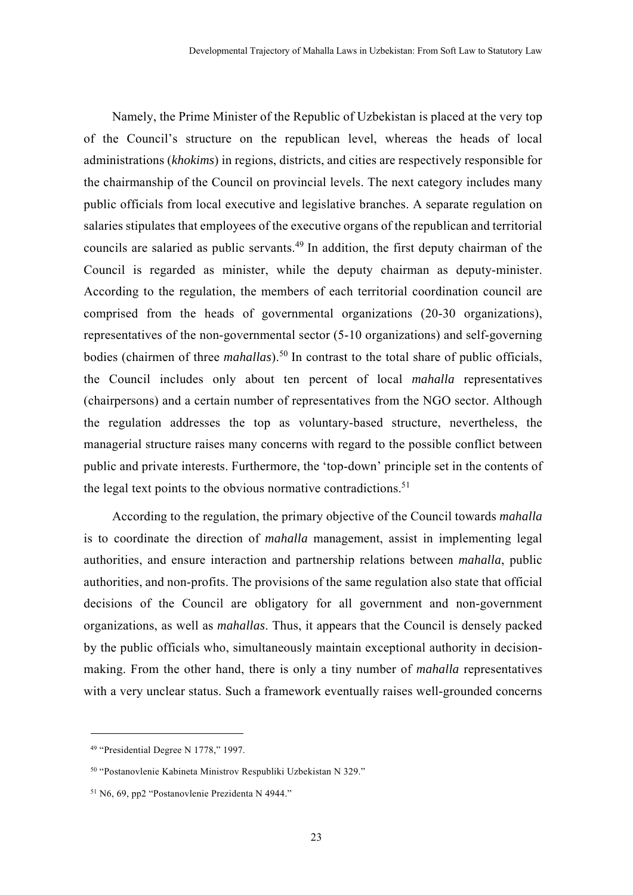Namely, the Prime Minister of the Republic of Uzbekistan is placed at the very top of the Council's structure on the republican level, whereas the heads of local administrations (*khokims*) in regions, districts, and cities are respectively responsible for the chairmanship of the Council on provincial levels. The next category includes many public officials from local executive and legislative branches. A separate regulation on salaries stipulates that employees of the executive organs of the republican and territorial councils are salaried as public servants.<sup>49</sup> In addition, the first deputy chairman of the Council is regarded as minister, while the deputy chairman as deputy-minister. According to the regulation, the members of each territorial coordination council are comprised from the heads of governmental organizations (20-30 organizations), representatives of the non-governmental sector (5-10 organizations) and self-governing bodies (chairmen of three *mahallas*).<sup>50</sup> In contrast to the total share of public officials, the Council includes only about ten percent of local *mahalla* representatives (chairpersons) and a certain number of representatives from the NGO sector. Although the regulation addresses the top as voluntary-based structure, nevertheless, the managerial structure raises many concerns with regard to the possible conflict between public and private interests. Furthermore, the 'top-down' principle set in the contents of the legal text points to the obvious normative contradictions.<sup>51</sup>

According to the regulation, the primary objective of the Council towards *mahalla* is to coordinate the direction of *mahalla* management, assist in implementing legal authorities, and ensure interaction and partnership relations between *mahalla*, public authorities, and non-profits. The provisions of the same regulation also state that official decisions of the Council are obligatory for all government and non-government organizations, as well as *mahallas*. Thus, it appears that the Council is densely packed by the public officials who, simultaneously maintain exceptional authority in decisionmaking. From the other hand, there is only a tiny number of *mahalla* representatives with a very unclear status. Such a framework eventually raises well-grounded concerns

<sup>49 &</sup>quot;Presidential Degree N 1778," 1997.

<sup>50 &</sup>quot;Postanovlenie Kabineta Ministrov Respubliki Uzbekistan N 329."

<sup>51</sup> N6, 69, pp2 "Postanovlenie Prezidenta N 4944."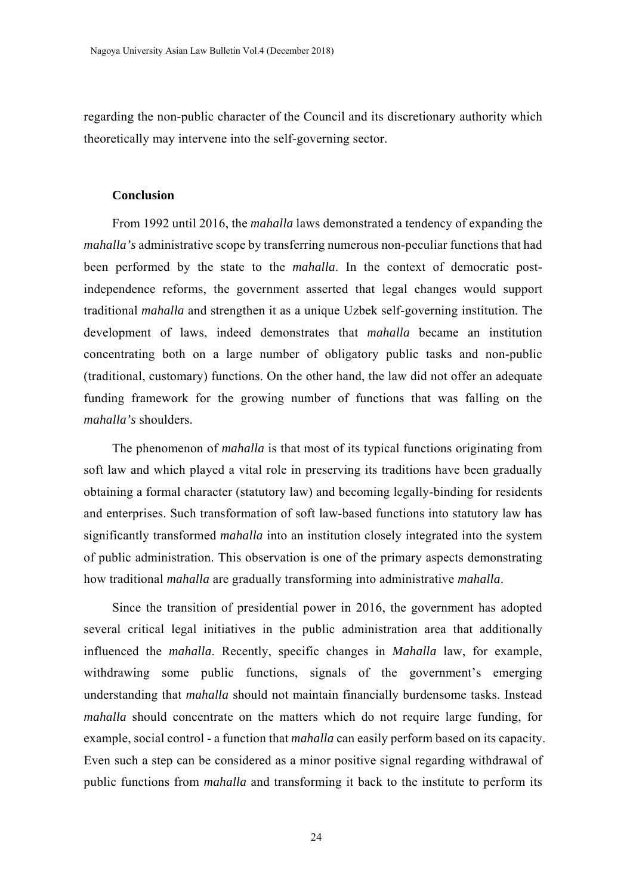regarding the non-public character of the Council and its discretionary authority which theoretically may intervene into the self-governing sector.

## **Conclusion**

From 1992 until 2016, the *mahalla* laws demonstrated a tendency of expanding the *mahalla's* administrative scope by transferring numerous non-peculiar functions that had been performed by the state to the *mahalla*. In the context of democratic postindependence reforms, the government asserted that legal changes would support traditional *mahalla* and strengthen it as a unique Uzbek self-governing institution. The development of laws, indeed demonstrates that *mahalla* became an institution concentrating both on a large number of obligatory public tasks and non-public (traditional, customary) functions. On the other hand, the law did not offer an adequate funding framework for the growing number of functions that was falling on the *mahalla's* shoulders.

The phenomenon of *mahalla* is that most of its typical functions originating from soft law and which played a vital role in preserving its traditions have been gradually obtaining a formal character (statutory law) and becoming legally-binding for residents and enterprises. Such transformation of soft law-based functions into statutory law has significantly transformed *mahalla* into an institution closely integrated into the system of public administration. This observation is one of the primary aspects demonstrating how traditional *mahalla* are gradually transforming into administrative *mahalla*.

Since the transition of presidential power in 2016, the government has adopted several critical legal initiatives in the public administration area that additionally influenced the *mahalla*. Recently, specific changes in *Mahalla* law, for example, withdrawing some public functions, signals of the government's emerging understanding that *mahalla* should not maintain financially burdensome tasks. Instead *mahalla* should concentrate on the matters which do not require large funding, for example, social control - a function that *mahalla* can easily perform based on its capacity. Even such a step can be considered as a minor positive signal regarding withdrawal of public functions from *mahalla* and transforming it back to the institute to perform its

24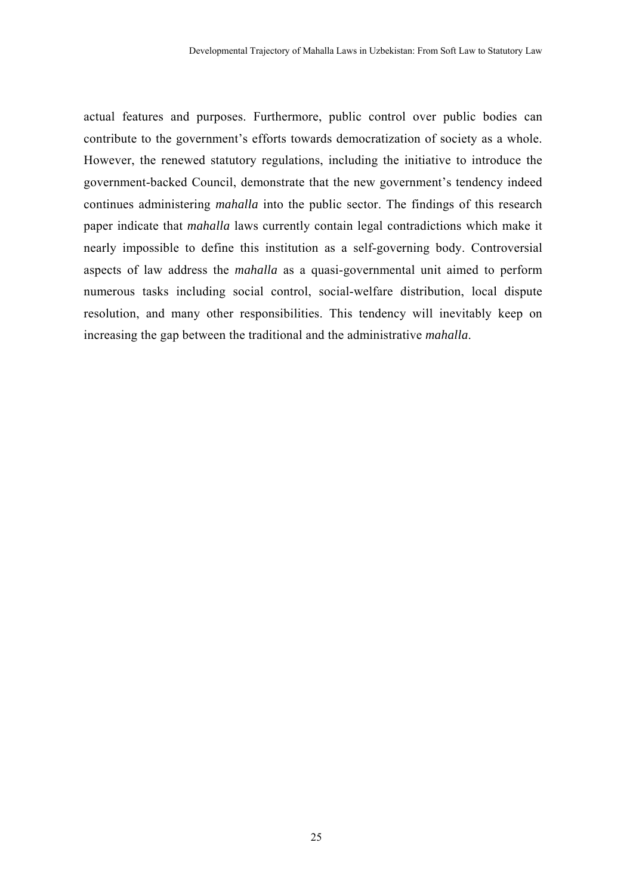actual features and purposes. Furthermore, public control over public bodies can contribute to the government's efforts towards democratization of society as a whole. However, the renewed statutory regulations, including the initiative to introduce the government-backed Council, demonstrate that the new government's tendency indeed continues administering *mahalla* into the public sector. The findings of this research paper indicate that *mahalla* laws currently contain legal contradictions which make it nearly impossible to define this institution as a self-governing body. Controversial aspects of law address the *mahalla* as a quasi-governmental unit aimed to perform numerous tasks including social control, social-welfare distribution, local dispute resolution, and many other responsibilities. This tendency will inevitably keep on increasing the gap between the traditional and the administrative *mahalla*.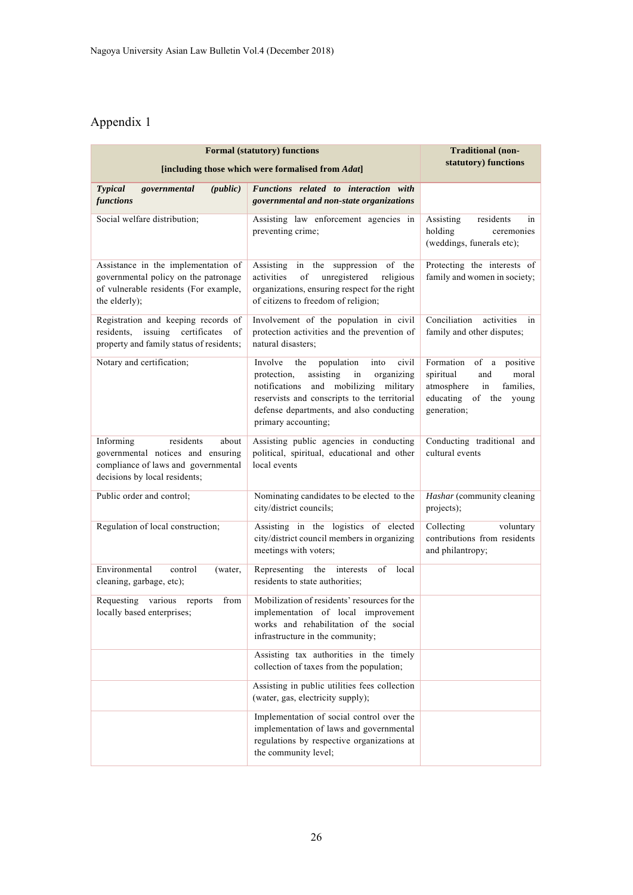## Appendix 1

| <b>Formal (statutory) functions</b>                                                                                                          |                                                                                                                                                                                                                                                              | Traditional (non-<br>statutory) functions                                                                                            |
|----------------------------------------------------------------------------------------------------------------------------------------------|--------------------------------------------------------------------------------------------------------------------------------------------------------------------------------------------------------------------------------------------------------------|--------------------------------------------------------------------------------------------------------------------------------------|
| [including those which were formalised from Adat]                                                                                            |                                                                                                                                                                                                                                                              |                                                                                                                                      |
| <b>Typical</b><br>governmental<br>(public)<br>functions                                                                                      | Functions related to interaction with<br>governmental and non-state organizations                                                                                                                                                                            |                                                                                                                                      |
| Social welfare distribution;                                                                                                                 | Assisting law enforcement agencies in<br>preventing crime;                                                                                                                                                                                                   | Assisting<br>residents<br>in<br>holding<br>ceremonies<br>(weddings, funerals etc);                                                   |
| Assistance in the implementation of<br>governmental policy on the patronage<br>of vulnerable residents (For example,<br>the elderly);        | in the suppression of the<br>Assisting<br>activities<br>of<br>unregistered<br>religious<br>organizations, ensuring respect for the right<br>of citizens to freedom of religion;                                                                              | Protecting the interests of<br>family and women in society;                                                                          |
| Registration and keeping records of<br>issuing certificates<br>residents,<br>of<br>property and family status of residents;                  | Involvement of the population in civil<br>protection activities and the prevention of<br>natural disasters;                                                                                                                                                  | Conciliation<br>activities<br>in<br>family and other disputes;                                                                       |
| Notary and certification;                                                                                                                    | Involve<br>civil<br>the<br>population<br>into<br>assisting<br>protection.<br>in<br>organizing<br>and mobilizing military<br>notifications<br>reservists and conscripts to the territorial<br>defense departments, and also conducting<br>primary accounting; | Formation of a<br>positive<br>spiritual<br>and<br>moral<br>families,<br>atmosphere<br>in<br>educating of the<br>young<br>generation; |
| residents<br>about<br>Informing<br>governmental notices and ensuring<br>compliance of laws and governmental<br>decisions by local residents; | Assisting public agencies in conducting<br>political, spiritual, educational and other<br>local events                                                                                                                                                       | Conducting traditional and<br>cultural events                                                                                        |
| Public order and control;                                                                                                                    | Nominating candidates to be elected to the<br>city/district councils;                                                                                                                                                                                        | Hashar (community cleaning<br>projects);                                                                                             |
| Regulation of local construction;                                                                                                            | Assisting in the logistics of elected<br>city/district council members in organizing<br>meetings with voters;                                                                                                                                                | Collecting<br>voluntary<br>contributions from residents<br>and philantropy;                                                          |
| Environmental<br>control<br>(water,<br>cleaning, garbage, etc);                                                                              | Representing<br>the<br>of<br>local<br>interests<br>residents to state authorities;                                                                                                                                                                           |                                                                                                                                      |
| Requesting<br>various<br>from<br>reports<br>locally based enterprises;                                                                       | Mobilization of residents' resources for the<br>implementation of local improvement<br>works and rehabilitation of the social<br>infrastructure in the community;                                                                                            |                                                                                                                                      |
|                                                                                                                                              | Assisting tax authorities in the timely<br>collection of taxes from the population;                                                                                                                                                                          |                                                                                                                                      |
|                                                                                                                                              | Assisting in public utilities fees collection<br>(water, gas, electricity supply);                                                                                                                                                                           |                                                                                                                                      |
|                                                                                                                                              | Implementation of social control over the<br>implementation of laws and governmental<br>regulations by respective organizations at<br>the community level;                                                                                                   |                                                                                                                                      |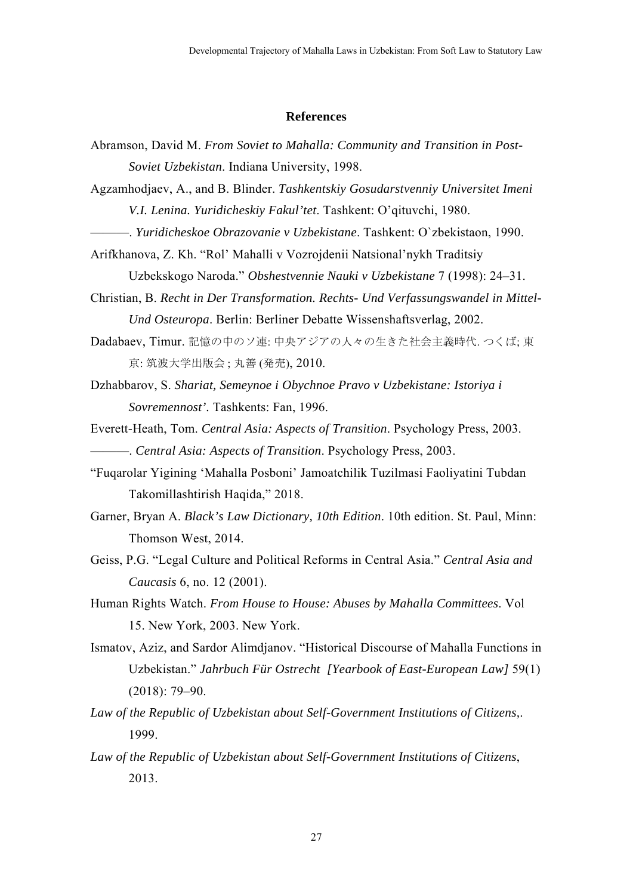#### **References**

Abramson, David M. *From Soviet to Mahalla: Community and Transition in Post-Soviet Uzbekistan*. Indiana University, 1998.

Agzamhodjaev, A., and B. Blinder. *Tashkentskiy Gosudarstvenniy Universitet Imeni V.I. Lenina. Yuridicheskiy Fakul'tet*. Tashkent: O'qituvchi, 1980.

- ———. *Yuridicheskoe Obrazovanie v Uzbekistane*. Tashkent: O`zbekistaon, 1990.
- Arifkhanova, Z. Kh. "Rol' Mahalli v Vozrojdenii Natsional'nykh Traditsiy

Uzbekskogo Naroda." *Obshestvennie Nauki v Uzbekistane* 7 (1998): 24–31.

- Christian, B. *Recht in Der Transformation. Rechts- Und Verfassungswandel in Mittel-Und Osteuropa*. Berlin: Berliner Debatte Wissenshaftsverlag, 2002.
- Dadabaev, Timur. 記憶の中のソ連: 中央アジアの人々の生きた社会主義時代. つくば; 東 京: 筑波大学出版会 ; 丸善 (発売), 2010.
- Dzhabbarov, S. *Shariat, Semeynoe i Obychnoe Pravo v Uzbekistane: Istoriya i Sovremennost'.* Tashkents: Fan, 1996.
- Everett-Heath, Tom. *Central Asia: Aspects of Transition*. Psychology Press, 2003. ———. *Central Asia: Aspects of Transition*. Psychology Press, 2003.
- "Fuqarolar Yigining 'Mahalla Posboni' Jamoatchilik Tuzilmasi Faoliyatini Tubdan Takomillashtirish Haqida," 2018.
- Garner, Bryan A. *Black's Law Dictionary, 10th Edition*. 10th edition. St. Paul, Minn: Thomson West, 2014.
- Geiss, P.G. "Legal Culture and Political Reforms in Central Asia." *Central Asia and Caucasis* 6, no. 12 (2001).
- Human Rights Watch. *From House to House: Abuses by Mahalla Committees*. Vol 15. New York, 2003. New York.
- Ismatov, Aziz, and Sardor Alimdjanov. "Historical Discourse of Mahalla Functions in Uzbekistan." *Jahrbuch Für Ostrecht [Yearbook of East-European Law]* 59(1) (2018): 79–90.
- *Law of the Republic of Uzbekistan about Self-Government Institutions of Citizens,*. 1999.
- *Law of the Republic of Uzbekistan about Self-Government Institutions of Citizens*, 2013.